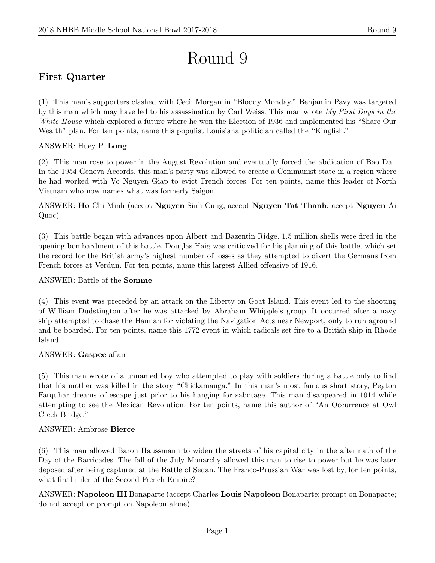# Round 9

## First Quarter

(1) This man's supporters clashed with Cecil Morgan in "Bloody Monday." Benjamin Pavy was targeted by this man which may have led to his assassination by Carl Weiss. This man wrote My First Days in the White House which explored a future where he won the Election of 1936 and implemented his "Share Our Wealth" plan. For ten points, name this populist Louisiana politician called the "Kingfish."

### ANSWER: Huey P. Long

(2) This man rose to power in the August Revolution and eventually forced the abdication of Bao Dai. In the 1954 Geneva Accords, this man's party was allowed to create a Communist state in a region where he had worked with Vo Nguyen Giap to evict French forces. For ten points, name this leader of North Vietnam who now names what was formerly Saigon.

ANSWER: Ho Chi Minh (accept Nguyen Sinh Cung; accept Nguyen Tat Thanh; accept Nguyen Ai Quoc)

(3) This battle began with advances upon Albert and Bazentin Ridge. 1.5 million shells were fired in the opening bombardment of this battle. Douglas Haig was criticized for his planning of this battle, which set the record for the British army's highest number of losses as they attempted to divert the Germans from French forces at Verdun. For ten points, name this largest Allied offensive of 1916.

#### ANSWER: Battle of the Somme

(4) This event was preceded by an attack on the Liberty on Goat Island. This event led to the shooting of William Dudstington after he was attacked by Abraham Whipple's group. It occurred after a navy ship attempted to chase the Hannah for violating the Navigation Acts near Newport, only to run aground and be boarded. For ten points, name this 1772 event in which radicals set fire to a British ship in Rhode Island.

#### ANSWER: Gaspee affair

(5) This man wrote of a unnamed boy who attempted to play with soldiers during a battle only to find that his mother was killed in the story "Chickamauga." In this man's most famous short story, Peyton Farquhar dreams of escape just prior to his hanging for sabotage. This man disappeared in 1914 while attempting to see the Mexican Revolution. For ten points, name this author of "An Occurrence at Owl Creek Bridge."

#### ANSWER: Ambrose Bierce

(6) This man allowed Baron Haussmann to widen the streets of his capital city in the aftermath of the Day of the Barricades. The fall of the July Monarchy allowed this man to rise to power but he was later deposed after being captured at the Battle of Sedan. The Franco-Prussian War was lost by, for ten points, what final ruler of the Second French Empire?

ANSWER: Napoleon III Bonaparte (accept Charles-Louis Napoleon Bonaparte; prompt on Bonaparte; do not accept or prompt on Napoleon alone)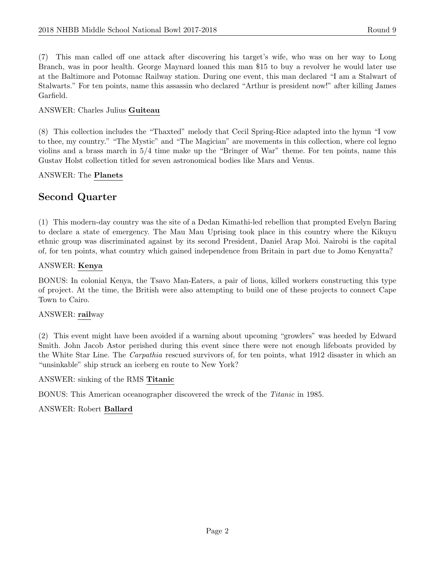(7) This man called off one attack after discovering his target's wife, who was on her way to Long Branch, was in poor health. George Maynard loaned this man \$15 to buy a revolver he would later use at the Baltimore and Potomac Railway station. During one event, this man declared "I am a Stalwart of Stalwarts." For ten points, name this assassin who declared "Arthur is president now!" after killing James Garfield.

#### ANSWER: Charles Julius Guiteau

(8) This collection includes the "Thaxted" melody that Cecil Spring-Rice adapted into the hymn "I vow to thee, my country." "The Mystic" and "The Magician" are movements in this collection, where col legno violins and a brass march in 5/4 time make up the "Bringer of War" theme. For ten points, name this Gustav Holst collection titled for seven astronomical bodies like Mars and Venus.

#### ANSWER: The Planets

## Second Quarter

(1) This modern-day country was the site of a Dedan Kimathi-led rebellion that prompted Evelyn Baring to declare a state of emergency. The Mau Mau Uprising took place in this country where the Kikuyu ethnic group was discriminated against by its second President, Daniel Arap Moi. Nairobi is the capital of, for ten points, what country which gained independence from Britain in part due to Jomo Kenyatta?

#### ANSWER: Kenya

BONUS: In colonial Kenya, the Tsavo Man-Eaters, a pair of lions, killed workers constructing this type of project. At the time, the British were also attempting to build one of these projects to connect Cape Town to Cairo.

#### ANSWER: railway

(2) This event might have been avoided if a warning about upcoming "growlers" was heeded by Edward Smith. John Jacob Astor perished during this event since there were not enough lifeboats provided by the White Star Line. The *Carpathia* rescued survivors of, for ten points, what 1912 disaster in which an "unsinkable" ship struck an iceberg en route to New York?

ANSWER: sinking of the RMS Titanic

BONUS: This American oceanographer discovered the wreck of the Titanic in 1985.

#### ANSWER: Robert Ballard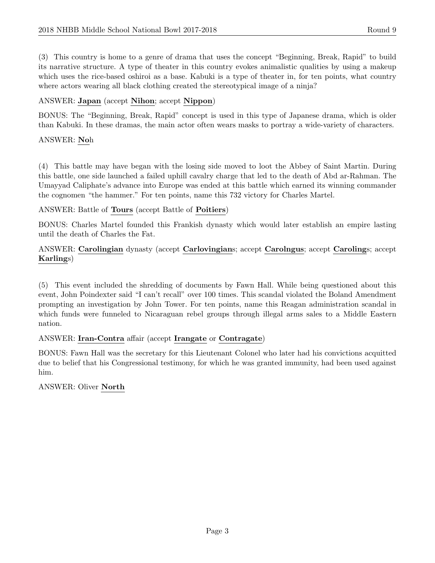(3) This country is home to a genre of drama that uses the concept "Beginning, Break, Rapid" to build its narrative structure. A type of theater in this country evokes animalistic qualities by using a makeup which uses the rice-based oshiroi as a base. Kabuki is a type of theater in, for ten points, what country where actors wearing all black clothing created the stereotypical image of a ninja?

#### ANSWER: Japan (accept Nihon; accept Nippon)

BONUS: The "Beginning, Break, Rapid" concept is used in this type of Japanese drama, which is older than Kabuki. In these dramas, the main actor often wears masks to portray a wide-variety of characters.

#### ANSWER: Noh

(4) This battle may have began with the losing side moved to loot the Abbey of Saint Martin. During this battle, one side launched a failed uphill cavalry charge that led to the death of Abd ar-Rahman. The Umayyad Caliphate's advance into Europe was ended at this battle which earned its winning commander the cognomen "the hammer." For ten points, name this 732 victory for Charles Martel.

#### ANSWER: Battle of Tours (accept Battle of Poitiers)

BONUS: Charles Martel founded this Frankish dynasty which would later establish an empire lasting until the death of Charles the Fat.

#### ANSWER: Carolingian dynasty (accept Carlovingians; accept Carolngus; accept Carolings; accept Karlings)

(5) This event included the shredding of documents by Fawn Hall. While being questioned about this event, John Poindexter said "I can't recall" over 100 times. This scandal violated the Boland Amendment prompting an investigation by John Tower. For ten points, name this Reagan administration scandal in which funds were funneled to Nicaraguan rebel groups through illegal arms sales to a Middle Eastern nation.

#### ANSWER: Iran-Contra affair (accept Irangate or Contragate)

BONUS: Fawn Hall was the secretary for this Lieutenant Colonel who later had his convictions acquitted due to belief that his Congressional testimony, for which he was granted immunity, had been used against him.

#### ANSWER: Oliver North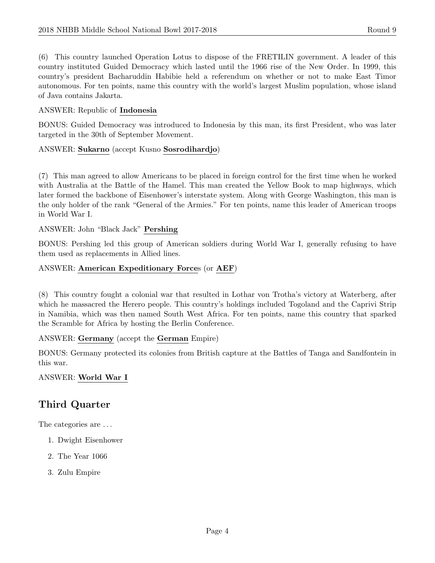(6) This country launched Operation Lotus to dispose of the FRETILIN government. A leader of this country instituted Guided Democracy which lasted until the 1966 rise of the New Order. In 1999, this country's president Bacharuddin Habibie held a referendum on whether or not to make East Timor autonomous. For ten points, name this country with the world's largest Muslim population, whose island of Java contains Jakarta.

#### ANSWER: Republic of Indonesia

BONUS: Guided Democracy was introduced to Indonesia by this man, its first President, who was later targeted in the 30th of September Movement.

#### ANSWER: Sukarno (accept Kusno Sosrodihardjo)

(7) This man agreed to allow Americans to be placed in foreign control for the first time when he worked with Australia at the Battle of the Hamel. This man created the Yellow Book to map highways, which later formed the backbone of Eisenhower's interstate system. Along with George Washington, this man is the only holder of the rank "General of the Armies." For ten points, name this leader of American troops in World War I.

#### ANSWER: John "Black Jack" Pershing

BONUS: Pershing led this group of American soldiers during World War I, generally refusing to have them used as replacements in Allied lines.

#### ANSWER: American Expeditionary Forces (or AEF)

(8) This country fought a colonial war that resulted in Lothar von Trotha's victory at Waterberg, after which he massacred the Herero people. This country's holdings included Togoland and the Caprivi Strip in Namibia, which was then named South West Africa. For ten points, name this country that sparked the Scramble for Africa by hosting the Berlin Conference.

#### ANSWER: Germany (accept the German Empire)

BONUS: Germany protected its colonies from British capture at the Battles of Tanga and Sandfontein in this war.

#### ANSWER: World War I

## Third Quarter

The categories are . . .

- 1. Dwight Eisenhower
- 2. The Year 1066
- 3. Zulu Empire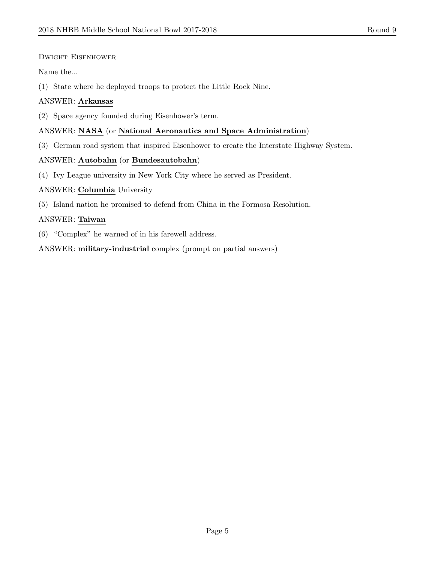#### Dwight Eisenhower

Name the...

(1) State where he deployed troops to protect the Little Rock Nine.

#### ANSWER: Arkansas

(2) Space agency founded during Eisenhower's term.

#### ANSWER: NASA (or National Aeronautics and Space Administration)

(3) German road system that inspired Eisenhower to create the Interstate Highway System.

#### ANSWER: Autobahn (or Bundesautobahn)

(4) Ivy League university in New York City where he served as President.

#### ANSWER: Columbia University

(5) Island nation he promised to defend from China in the Formosa Resolution.

#### ANSWER: Taiwan

(6) "Complex" he warned of in his farewell address.

ANSWER: military-industrial complex (prompt on partial answers)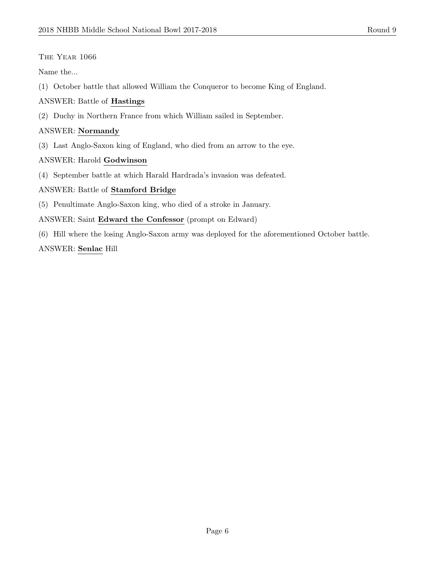#### The Year 1066

Name the...

(1) October battle that allowed William the Conqueror to become King of England.

#### ANSWER: Battle of Hastings

(2) Duchy in Northern France from which William sailed in September.

#### ANSWER: Normandy

(3) Last Anglo-Saxon king of England, who died from an arrow to the eye.

#### ANSWER: Harold Godwinson

(4) September battle at which Harald Hardrada's invasion was defeated.

#### ANSWER: Battle of Stamford Bridge

(5) Penultimate Anglo-Saxon king, who died of a stroke in January.

#### ANSWER: Saint Edward the Confessor (prompt on Edward)

(6) Hill where the losing Anglo-Saxon army was deployed for the aforementioned October battle.

#### ANSWER: Senlac Hill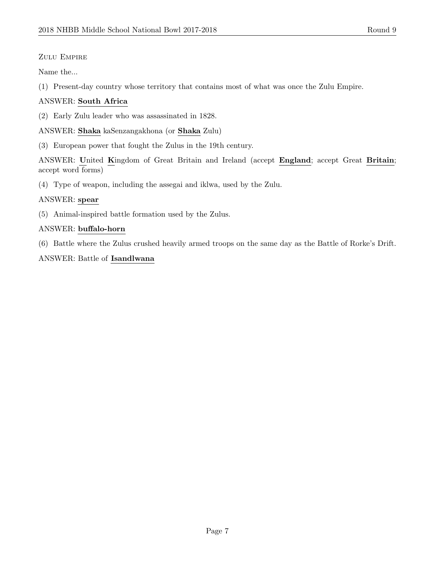#### ZULU EMPIRE

Name the...

(1) Present-day country whose territory that contains most of what was once the Zulu Empire.

#### ANSWER: South Africa

(2) Early Zulu leader who was assassinated in 1828.

ANSWER: Shaka kaSenzangakhona (or Shaka Zulu)

(3) European power that fought the Zulus in the 19th century.

ANSWER: United Kingdom of Great Britain and Ireland (accept England; accept Great Britain; accept word forms)

(4) Type of weapon, including the assegai and iklwa, used by the Zulu.

#### ANSWER: spear

(5) Animal-inspired battle formation used by the Zulus.

#### ANSWER: buffalo-horn

(6) Battle where the Zulus crushed heavily armed troops on the same day as the Battle of Rorke's Drift.

#### ANSWER: Battle of Isandlwana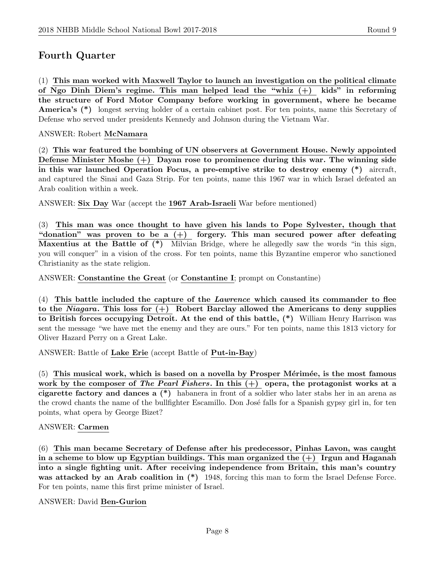## Fourth Quarter

(1) This man worked with Maxwell Taylor to launch an investigation on the political climate of Ngo Dinh Diem's regime. This man helped lead the "whiz (+) kids" in reforming the structure of Ford Motor Company before working in government, where he became America's (\*) longest serving holder of a certain cabinet post. For ten points, name this Secretary of Defense who served under presidents Kennedy and Johnson during the Vietnam War.

#### ANSWER: Robert McNamara

(2) This war featured the bombing of UN observers at Government House. Newly appointed Defense Minister Moshe (+) Dayan rose to prominence during this war. The winning side in this war launched Operation Focus, a pre-emptive strike to destroy enemy (\*) aircraft, and captured the Sinai and Gaza Strip. For ten points, name this 1967 war in which Israel defeated an Arab coalition within a week.

ANSWER: Six Day War (accept the 1967 Arab-Israeli War before mentioned)

(3) This man was once thought to have given his lands to Pope Sylvester, though that "donation" was proven to be a  $(+)$  forgery. This man secured power after defeating Maxentius at the Battle of  $(*)$  Milvian Bridge, where he allegedly saw the words "in this sign, you will conquer" in a vision of the cross. For ten points, name this Byzantine emperor who sanctioned Christianity as the state religion.

ANSWER: Constantine the Great (or Constantine I; prompt on Constantine)

(4) This battle included the capture of the Lawrence which caused its commander to flee to the Niagara. This loss for  $(+)$  Robert Barclay allowed the Americans to deny supplies to British forces occupying Detroit. At the end of this battle, (\*) William Henry Harrison was sent the message "we have met the enemy and they are ours." For ten points, name this 1813 victory for Oliver Hazard Perry on a Great Lake.

ANSWER: Battle of Lake Erie (accept Battle of Put-in-Bay)

 $(5)$  This musical work, which is based on a novella by Prosper Mérimée, is the most famous work by the composer of The Pearl Fishers. In this  $(+)$  opera, the protagonist works at a cigarette factory and dances a (\*) habanera in front of a soldier who later stabs her in an arena as the crowd chants the name of the bullfighter Escamillo. Don José falls for a Spanish gypsy girl in, for ten points, what opera by George Bizet?

#### ANSWER: Carmen

(6) This man became Secretary of Defense after his predecessor, Pinhas Lavon, was caught in a scheme to blow up Egyptian buildings. This man organized the  $(+)$  Irgun and Haganah into a single fighting unit. After receiving independence from Britain, this man's country was attacked by an Arab coalition in  $(*)$  1948, forcing this man to form the Israel Defense Force. For ten points, name this first prime minister of Israel.

#### ANSWER: David Ben-Gurion